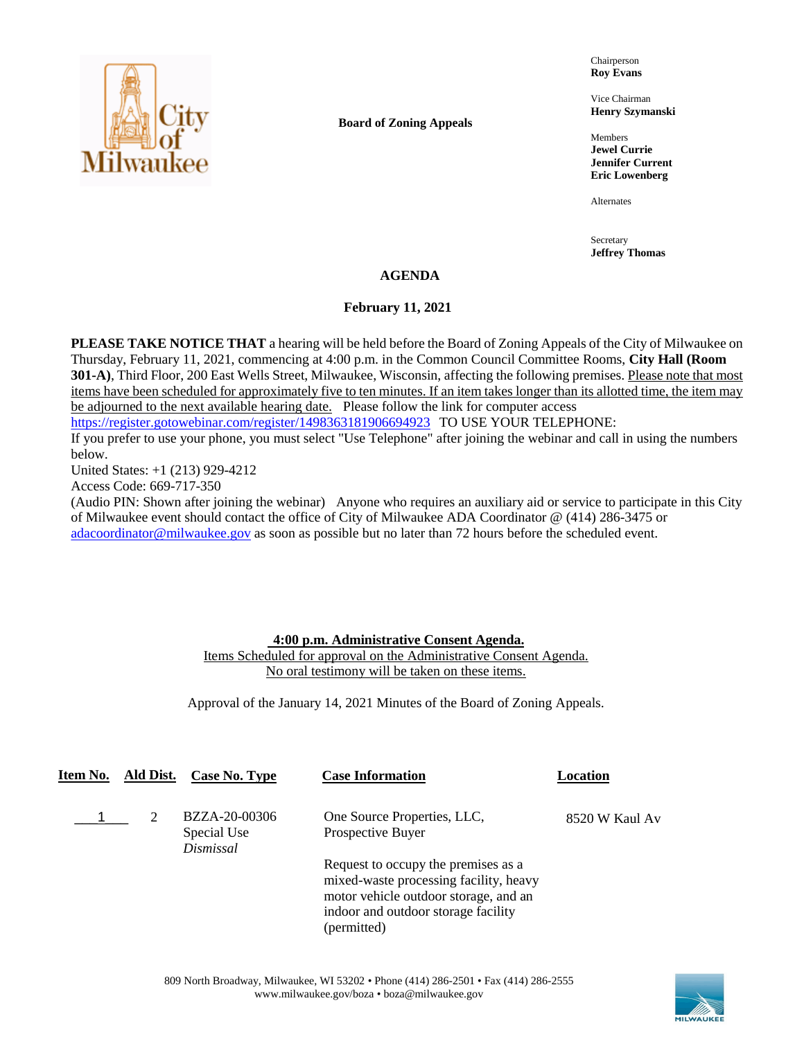

**Board of Zoning Appeals**

Chairperson **Roy Evans**

Vice Chairman **Henry Szymanski**

Members **Jewel Currie Jennifer Current Eric Lowenberg**

Alternates

Secretary **Jeffrey Thomas**

## **AGENDA**

### **February 11, 2021**

**PLEASE TAKE NOTICE THAT** a hearing will be held before the Board of Zoning Appeals of the City of Milwaukee on Thursday, February 11, 2021, commencing at 4:00 p.m. in the Common Council Committee Rooms, **City Hall (Room 301-A)**, Third Floor, 200 East Wells Street, Milwaukee, Wisconsin, affecting the following premises. Please note that most items have been scheduled for approximately five to ten minutes. If an item takes longer than its allotted time, the item may be adjourned to the next available hearing date. Please follow the link for computer access

<https://register.gotowebinar.com/register/1498363181906694923> TO USE YOUR TELEPHONE:

If you prefer to use your phone, you must select "Use Telephone" after joining the webinar and call in using the numbers below.

United States: +1 (213) 929-4212

Access Code: 669-717-350

(Audio PIN: Shown after joining the webinar) Anyone who requires an auxiliary aid or service to participate in this City of Milwaukee event should contact the office of City of Milwaukee ADA Coordinator @ (414) 286-3475 or [adacoordinator@milwaukee.gov](mailto:adacoordinator@milwaukee.gov) as soon as possible but no later than 72 hours before the scheduled event.

## **4:00 p.m. Administrative Consent Agenda.**

Items Scheduled for approval on the Administrative Consent Agenda. No oral testimony will be taken on these items.

Approval of the January 14, 2021 Minutes of the Board of Zoning Appeals.

| Item No. | Ald Dist. | Case No. Type                             | <b>Case Information</b>                                                                                                                                                      | Location       |
|----------|-----------|-------------------------------------------|------------------------------------------------------------------------------------------------------------------------------------------------------------------------------|----------------|
|          |           | BZZA-20-00306<br>Special Use<br>Dismissal | One Source Properties, LLC,<br>Prospective Buyer                                                                                                                             | 8520 W Kaul Av |
|          |           |                                           | Request to occupy the premises as a<br>mixed-waste processing facility, heavy<br>motor vehicle outdoor storage, and an<br>indoor and outdoor storage facility<br>(permitted) |                |

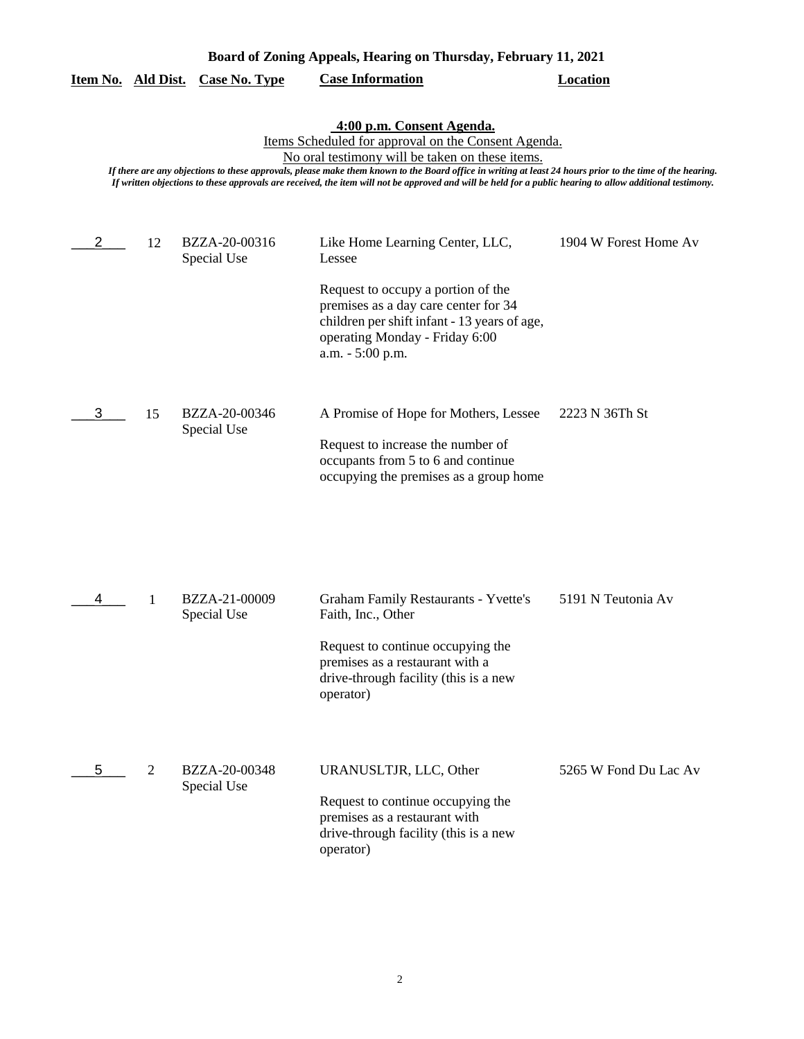| Board of Zoning Appeals, Hearing on Thursday, February 11, 2021 |                                                                                                                                                                                                                                                                                                                                                                                                                                                               |                              |                                                                                                                                                                                                                               |                       |  |  |  |
|-----------------------------------------------------------------|---------------------------------------------------------------------------------------------------------------------------------------------------------------------------------------------------------------------------------------------------------------------------------------------------------------------------------------------------------------------------------------------------------------------------------------------------------------|------------------------------|-------------------------------------------------------------------------------------------------------------------------------------------------------------------------------------------------------------------------------|-----------------------|--|--|--|
| Item No. Ald Dist.                                              |                                                                                                                                                                                                                                                                                                                                                                                                                                                               | <b>Case No. Type</b>         | <b>Case Information</b>                                                                                                                                                                                                       | <b>Location</b>       |  |  |  |
|                                                                 | 4:00 p.m. Consent Agenda.<br>Items Scheduled for approval on the Consent Agenda.<br>No oral testimony will be taken on these items.<br>If there are any objections to these approvals, please make them known to the Board office in writing at least 24 hours prior to the time of the hearing.<br>If written objections to these approvals are received, the item will not be approved and will be held for a public hearing to allow additional testimony. |                              |                                                                                                                                                                                                                               |                       |  |  |  |
|                                                                 | 12                                                                                                                                                                                                                                                                                                                                                                                                                                                            | BZZA-20-00316<br>Special Use | Like Home Learning Center, LLC,<br>Lessee<br>Request to occupy a portion of the<br>premises as a day care center for 34<br>children per shift infant - 13 years of age,<br>operating Monday - Friday 6:00<br>a.m. - 5:00 p.m. | 1904 W Forest Home Av |  |  |  |
| 3                                                               | 15                                                                                                                                                                                                                                                                                                                                                                                                                                                            | BZZA-20-00346<br>Special Use | A Promise of Hope for Mothers, Lessee<br>Request to increase the number of<br>occupants from 5 to 6 and continue<br>occupying the premises as a group home                                                                    | 2223 N 36Th St        |  |  |  |
| 4                                                               | 1                                                                                                                                                                                                                                                                                                                                                                                                                                                             | BZZA-21-00009<br>Special Use | <b>Graham Family Restaurants - Yvette's</b><br>Faith, Inc., Other<br>Request to continue occupying the<br>premises as a restaurant with a<br>drive-through facility (this is a new<br>operator)                               | 5191 N Teutonia Av    |  |  |  |
| 5                                                               | $\overline{2}$                                                                                                                                                                                                                                                                                                                                                                                                                                                | BZZA-20-00348<br>Special Use | URANUSLTJR, LLC, Other<br>Request to continue occupying the<br>premises as a restaurant with<br>drive-through facility (this is a new<br>operator)                                                                            | 5265 W Fond Du Lac Av |  |  |  |

### 2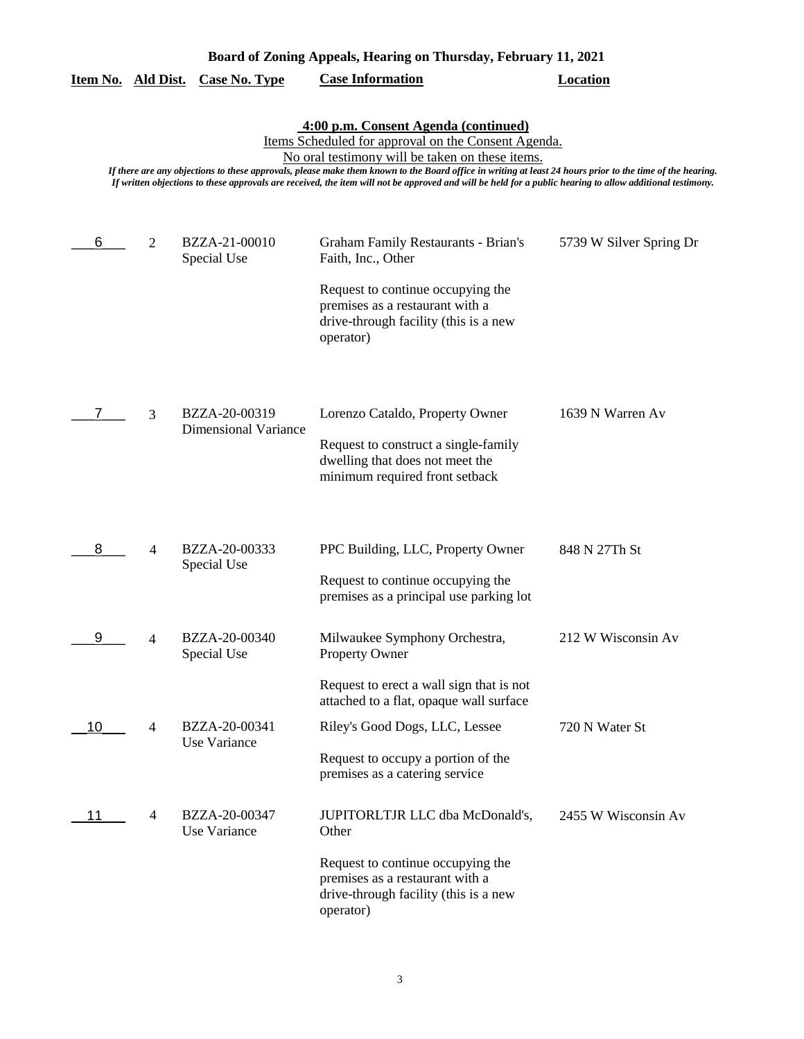|                    | Board of Zoning Appeals, Hearing on Thursday, February 11, 2021 |                                              |                                                                                                                                                                                                                                                                                                                                                                                                                                                                          |                         |  |
|--------------------|-----------------------------------------------------------------|----------------------------------------------|--------------------------------------------------------------------------------------------------------------------------------------------------------------------------------------------------------------------------------------------------------------------------------------------------------------------------------------------------------------------------------------------------------------------------------------------------------------------------|-------------------------|--|
| Item No. Ald Dist. |                                                                 | <b>Case No. Type</b>                         | <b>Case Information</b>                                                                                                                                                                                                                                                                                                                                                                                                                                                  | <b>Location</b>         |  |
|                    |                                                                 |                                              | 4:00 p.m. Consent Agenda (continued)<br>Items Scheduled for approval on the Consent Agenda.<br>No oral testimony will be taken on these items.<br>If there are any objections to these approvals, please make them known to the Board office in writing at least 24 hours prior to the time of the hearing.<br>If written objections to these approvals are received, the item will not be approved and will be held for a public hearing to allow additional testimony. |                         |  |
| 6                  | 2                                                               | BZZA-21-00010<br>Special Use                 | Graham Family Restaurants - Brian's<br>Faith, Inc., Other<br>Request to continue occupying the<br>premises as a restaurant with a<br>drive-through facility (this is a new<br>operator)                                                                                                                                                                                                                                                                                  | 5739 W Silver Spring Dr |  |
| 7.                 | 3                                                               | BZZA-20-00319<br><b>Dimensional Variance</b> | Lorenzo Cataldo, Property Owner<br>Request to construct a single-family<br>dwelling that does not meet the<br>minimum required front setback                                                                                                                                                                                                                                                                                                                             | 1639 N Warren Av        |  |
| 8                  | 4                                                               | BZZA-20-00333<br>Special Use                 | PPC Building, LLC, Property Owner<br>Request to continue occupying the<br>premises as a principal use parking lot                                                                                                                                                                                                                                                                                                                                                        | 848 N 27Th St           |  |
|                    | 4                                                               | BZZA-20-00340<br>Special Use                 | Milwaukee Symphony Orchestra,<br><b>Property Owner</b><br>Request to erect a wall sign that is not<br>attached to a flat, opaque wall surface                                                                                                                                                                                                                                                                                                                            | 212 W Wisconsin Av      |  |
| 10                 | $\overline{4}$                                                  | BZZA-20-00341<br>Use Variance                | Riley's Good Dogs, LLC, Lessee<br>Request to occupy a portion of the<br>premises as a catering service                                                                                                                                                                                                                                                                                                                                                                   | 720 N Water St          |  |
| 11                 | 4                                                               | BZZA-20-00347<br>Use Variance                | JUPITORLTJR LLC dba McDonald's,<br>Other<br>Request to continue occupying the<br>premises as a restaurant with a<br>drive-through facility (this is a new<br>operator)                                                                                                                                                                                                                                                                                                   | 2455 W Wisconsin Av     |  |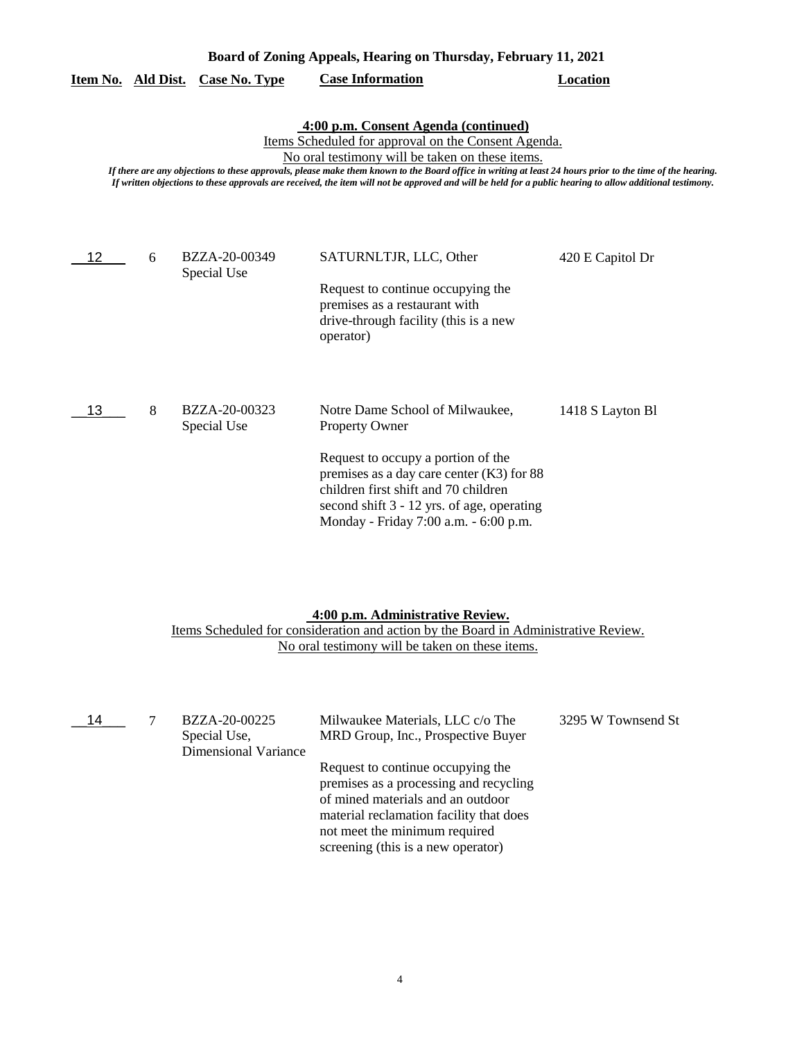| Board of Zoning Appeals, Hearing on Thursday, February 11, 2021                                                                                                                                                                                                                                                                                                                                                                                                          |   |                              |                                                                                                                                                                                                                                                                              |                  |  |
|--------------------------------------------------------------------------------------------------------------------------------------------------------------------------------------------------------------------------------------------------------------------------------------------------------------------------------------------------------------------------------------------------------------------------------------------------------------------------|---|------------------------------|------------------------------------------------------------------------------------------------------------------------------------------------------------------------------------------------------------------------------------------------------------------------------|------------------|--|
| Item No. Ald Dist.                                                                                                                                                                                                                                                                                                                                                                                                                                                       |   | <b>Case No. Type</b>         | <b>Case Information</b>                                                                                                                                                                                                                                                      | <b>Location</b>  |  |
| 4:00 p.m. Consent Agenda (continued)<br>Items Scheduled for approval on the Consent Agenda.<br>No oral testimony will be taken on these items.<br>If there are any objections to these approvals, please make them known to the Board office in writing at least 24 hours prior to the time of the hearing.<br>If written objections to these approvals are received, the item will not be approved and will be held for a public hearing to allow additional testimony. |   |                              |                                                                                                                                                                                                                                                                              |                  |  |
| 12                                                                                                                                                                                                                                                                                                                                                                                                                                                                       | 6 | BZZA-20-00349<br>Special Use | SATURNLTJR, LLC, Other<br>Request to continue occupying the<br>premises as a restaurant with<br>drive-through facility (this is a new<br>operator)                                                                                                                           | 420 E Capitol Dr |  |
| 13                                                                                                                                                                                                                                                                                                                                                                                                                                                                       | 8 | BZZA-20-00323<br>Special Use | Notre Dame School of Milwaukee,<br><b>Property Owner</b><br>Request to occupy a portion of the<br>premises as a day care center $(K3)$ for 88<br>children first shift and 70 children<br>second shift 3 - 12 yrs. of age, operating<br>Monday - Friday 7:00 a.m. - 6:00 p.m. | 1418 S Layton Bl |  |

#### **4:00 p.m. Administrative Review.**

Items Scheduled for consideration and action by the Board in Administrative Review. No oral testimony will be taken on these items.

| 14 | BZZA-20-00225<br>Special Use,<br><b>Dimensional Variance</b> | Milwaukee Materials, LLC c/o The<br>MRD Group, Inc., Prospective Buyer                                                                                                                                                             | 3295 W Townsend St |
|----|--------------------------------------------------------------|------------------------------------------------------------------------------------------------------------------------------------------------------------------------------------------------------------------------------------|--------------------|
|    |                                                              | Request to continue occupying the<br>premises as a processing and recycling<br>of mined materials and an outdoor<br>material reclamation facility that does<br>not meet the minimum required<br>screening (this is a new operator) |                    |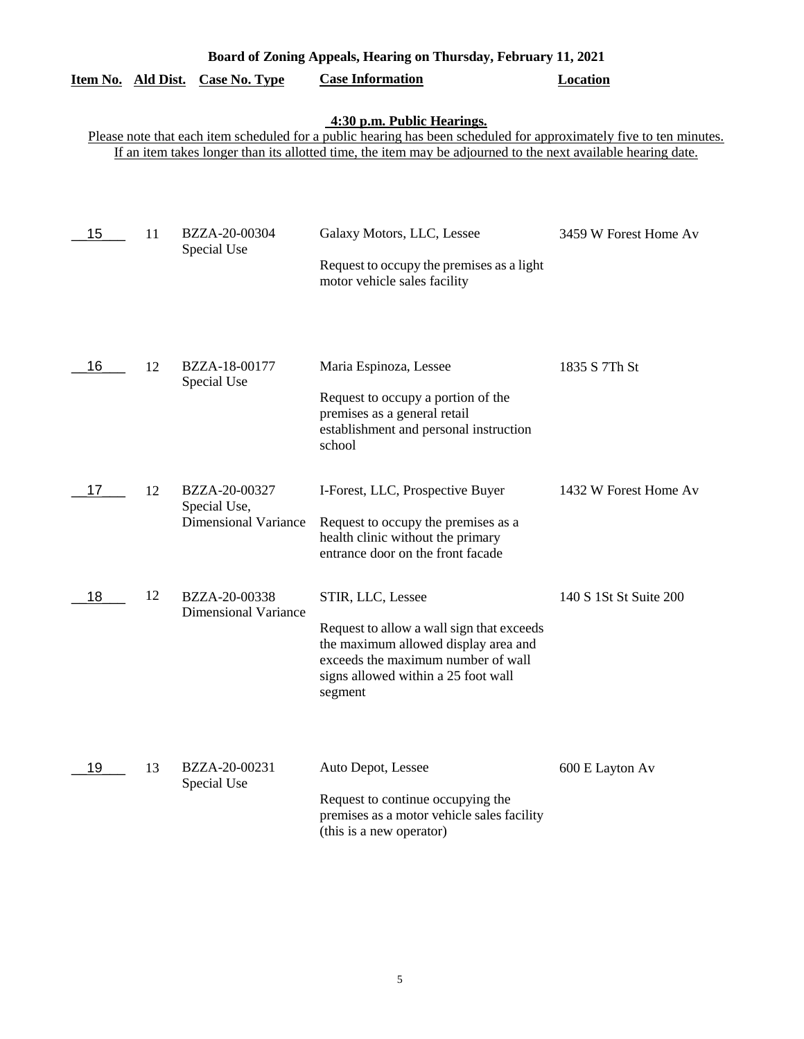|                    | Board of Zoning Appeals, Hearing on Thursday, February 11, 2021 |                                                              |                                                                                                                                                                                                                                                                    |                        |  |  |
|--------------------|-----------------------------------------------------------------|--------------------------------------------------------------|--------------------------------------------------------------------------------------------------------------------------------------------------------------------------------------------------------------------------------------------------------------------|------------------------|--|--|
| Item No. Ald Dist. |                                                                 | <b>Case No. Type</b>                                         | <b>Case Information</b>                                                                                                                                                                                                                                            | <b>Location</b>        |  |  |
|                    |                                                                 |                                                              | 4:30 p.m. Public Hearings.<br>Please note that each item scheduled for a public hearing has been scheduled for approximately five to ten minutes.<br>If an item takes longer than its allotted time, the item may be adjourned to the next available hearing date. |                        |  |  |
| 15                 | 11                                                              | BZZA-20-00304<br>Special Use                                 | Galaxy Motors, LLC, Lessee<br>Request to occupy the premises as a light<br>motor vehicle sales facility                                                                                                                                                            | 3459 W Forest Home Av  |  |  |
| 16                 | 12                                                              | BZZA-18-00177<br>Special Use                                 | Maria Espinoza, Lessee<br>Request to occupy a portion of the<br>premises as a general retail<br>establishment and personal instruction<br>school                                                                                                                   | 1835 S 7Th St          |  |  |
| 17                 | 12                                                              | BZZA-20-00327<br>Special Use,<br><b>Dimensional Variance</b> | I-Forest, LLC, Prospective Buyer<br>Request to occupy the premises as a<br>health clinic without the primary<br>entrance door on the front facade                                                                                                                  | 1432 W Forest Home Av  |  |  |
| 18                 | 12                                                              | BZZA-20-00338<br><b>Dimensional Variance</b>                 | STIR, LLC, Lessee<br>Request to allow a wall sign that exceeds<br>the maximum allowed display area and<br>exceeds the maximum number of wall<br>signs allowed within a 25 foot wall<br>segment                                                                     | 140 S 1St St Suite 200 |  |  |
| 19                 | 13                                                              | BZZA-20-00231<br>Special Use                                 | Auto Depot, Lessee<br>Request to continue occupying the<br>premises as a motor vehicle sales facility<br>(this is a new operator)                                                                                                                                  | 600 E Layton Av        |  |  |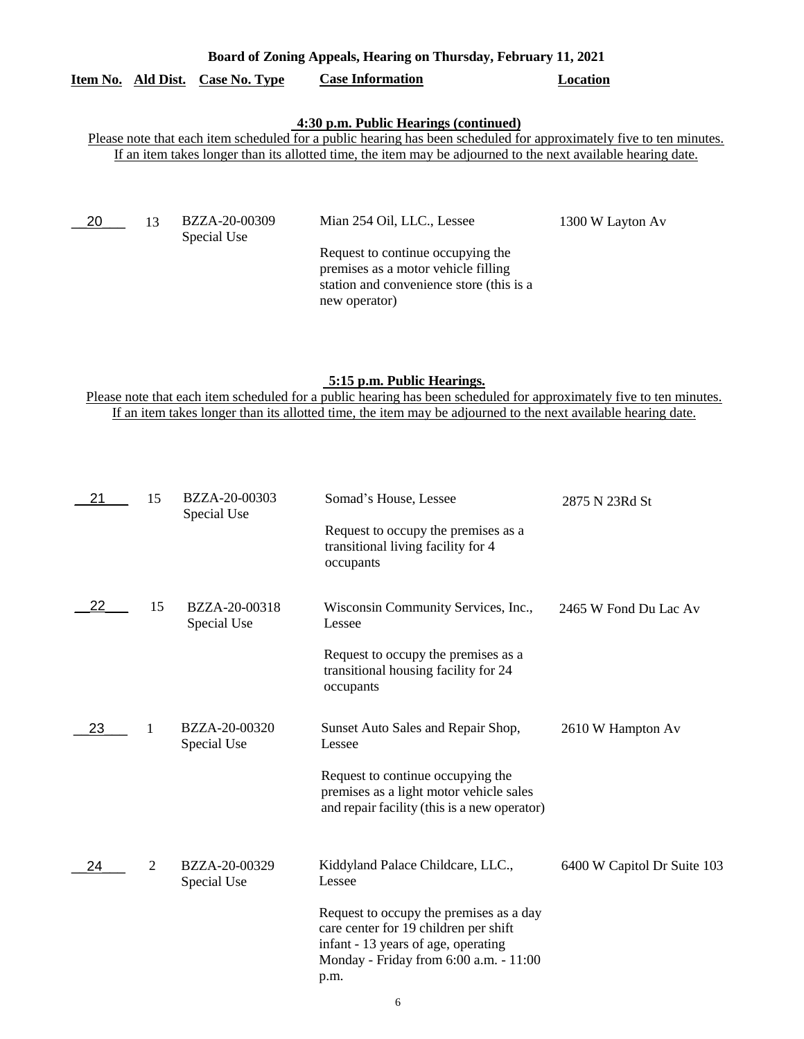### **Board of Zoning Appeals, Hearing on Thursday, February 11, 2021**

# **Item No. Ald Dist. Case No. Type Case Information Location**

## **4:30 p.m. Public Hearings (continued)**

Please note that each item scheduled for a public hearing has been scheduled for approximately five to ten minutes. If an item takes longer than its allotted time, the item may be adjourned to the next available hearing date.

| 20 | BZZA-20-00309<br>Special Use | Mian 254 Oil, LLC., Lessee                                                                                                            | 1300 W Layton Av |
|----|------------------------------|---------------------------------------------------------------------------------------------------------------------------------------|------------------|
|    |                              | Request to continue occupying the<br>premises as a motor vehicle filling<br>station and convenience store (this is a<br>new operator) |                  |

# **5:15 p.m. Public Hearings.**

Please note that each item scheduled for a public hearing has been scheduled for approximately five to ten minutes. If an item takes longer than its allotted time, the item may be adjourned to the next available hearing date.

| 21 | 15             | BZZA-20-00303<br>Special Use | Somad's House, Lessee                                                                                                                                                     | 2875 N 23Rd St              |
|----|----------------|------------------------------|---------------------------------------------------------------------------------------------------------------------------------------------------------------------------|-----------------------------|
|    |                |                              | Request to occupy the premises as a<br>transitional living facility for 4<br>occupants                                                                                    |                             |
| 22 | 15             | BZZA-20-00318<br>Special Use | Wisconsin Community Services, Inc.,<br>Lessee                                                                                                                             | 2465 W Fond Du Lac Av       |
|    |                |                              | Request to occupy the premises as a<br>transitional housing facility for 24<br>occupants                                                                                  |                             |
| 23 | -1             | BZZA-20-00320<br>Special Use | Sunset Auto Sales and Repair Shop,<br>Lessee                                                                                                                              | 2610 W Hampton Av           |
|    |                |                              | Request to continue occupying the<br>premises as a light motor vehicle sales<br>and repair facility (this is a new operator)                                              |                             |
| 24 | $\overline{2}$ | BZZA-20-00329<br>Special Use | Kiddyland Palace Childcare, LLC.,<br>Lessee                                                                                                                               | 6400 W Capitol Dr Suite 103 |
|    |                |                              | Request to occupy the premises as a day<br>care center for 19 children per shift<br>infant - 13 years of age, operating<br>Monday - Friday from 6:00 a.m. - 11:00<br>p.m. |                             |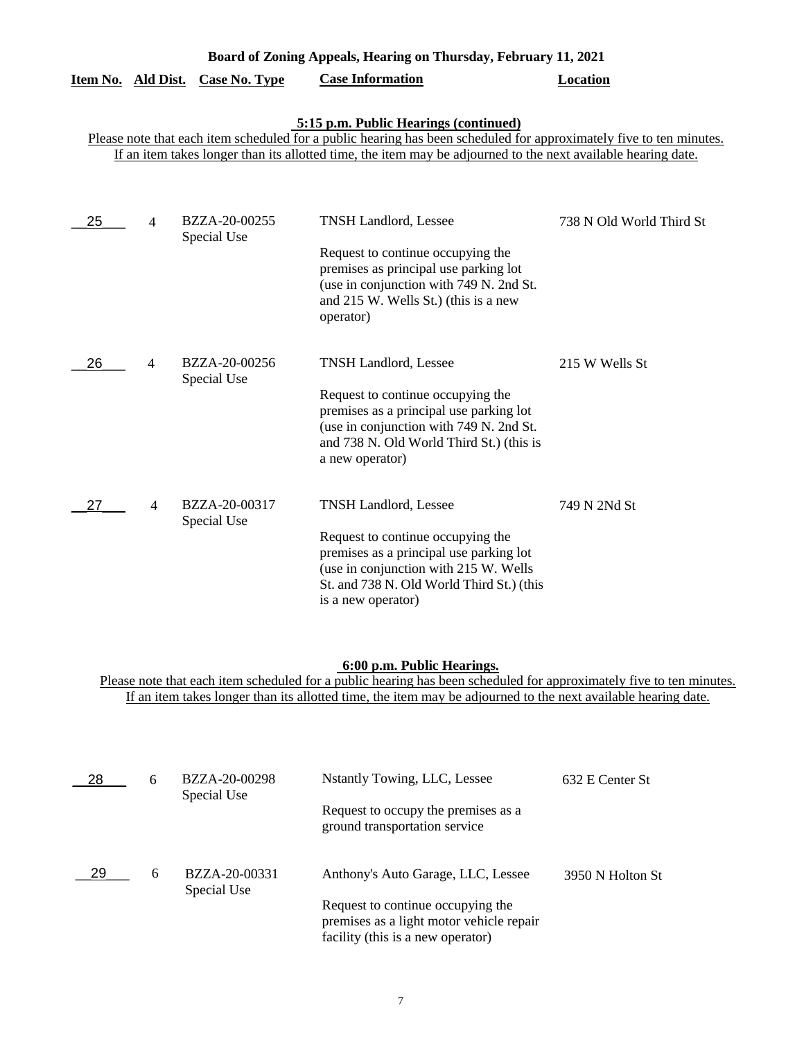|    |                | Item No. Ald Dist. Case No. Type | <b>Case Information</b>                                                                                                                                                                                                                                                       | <b>Location</b>          |
|----|----------------|----------------------------------|-------------------------------------------------------------------------------------------------------------------------------------------------------------------------------------------------------------------------------------------------------------------------------|--------------------------|
|    |                |                                  | 5:15 p.m. Public Hearings (continued)<br>Please note that each item scheduled for a public hearing has been scheduled for approximately five to ten minutes.<br>If an item takes longer than its allotted time, the item may be adjourned to the next available hearing date. |                          |
| 25 | $\overline{4}$ | BZZA-20-00255<br>Special Use     | <b>TNSH Landlord, Lessee</b><br>Request to continue occupying the<br>premises as principal use parking lot<br>(use in conjunction with 749 N. 2nd St.<br>and 215 W. Wells St.) (this is a new<br>operator)                                                                    | 738 N Old World Third St |
| 26 | $\overline{4}$ | BZZA-20-00256<br>Special Use     | <b>TNSH Landlord, Lessee</b><br>Request to continue occupying the<br>premises as a principal use parking lot<br>(use in conjunction with 749 N. 2nd St.<br>and 738 N. Old World Third St.) (this is<br>a new operator)                                                        | 215 W Wells St           |
| 27 | $\overline{4}$ | BZZA-20-00317<br>Special Use     | <b>TNSH Landlord, Lessee</b><br>Request to continue occupying the<br>premises as a principal use parking lot<br>(use in conjunction with 215 W. Wells<br>St. and 738 N. Old World Third St.) (this<br>is a new operator)                                                      | 749 N 2Nd St             |

**Board of Zoning Appeals, Hearing on Thursday, February 11, 2021** 

#### **6:00 p.m. Public Hearings.**

Please note that each item scheduled for a public hearing has been scheduled for approximately five to ten minutes. If an item takes longer than its allotted time, the item may be adjourned to the next available hearing date.

| -28 | 6 | BZZA-20-00298                | Nstantly Towing, LLC, Lessee                                                                                       | 632 E Center St  |
|-----|---|------------------------------|--------------------------------------------------------------------------------------------------------------------|------------------|
|     |   | Special Use                  | Request to occupy the premises as a<br>ground transportation service                                               |                  |
| -29 | 6 | BZZA-20-00331<br>Special Use | Anthony's Auto Garage, LLC, Lessee                                                                                 | 3950 N Holton St |
|     |   |                              | Request to continue occupying the<br>premises as a light motor vehicle repair<br>facility (this is a new operator) |                  |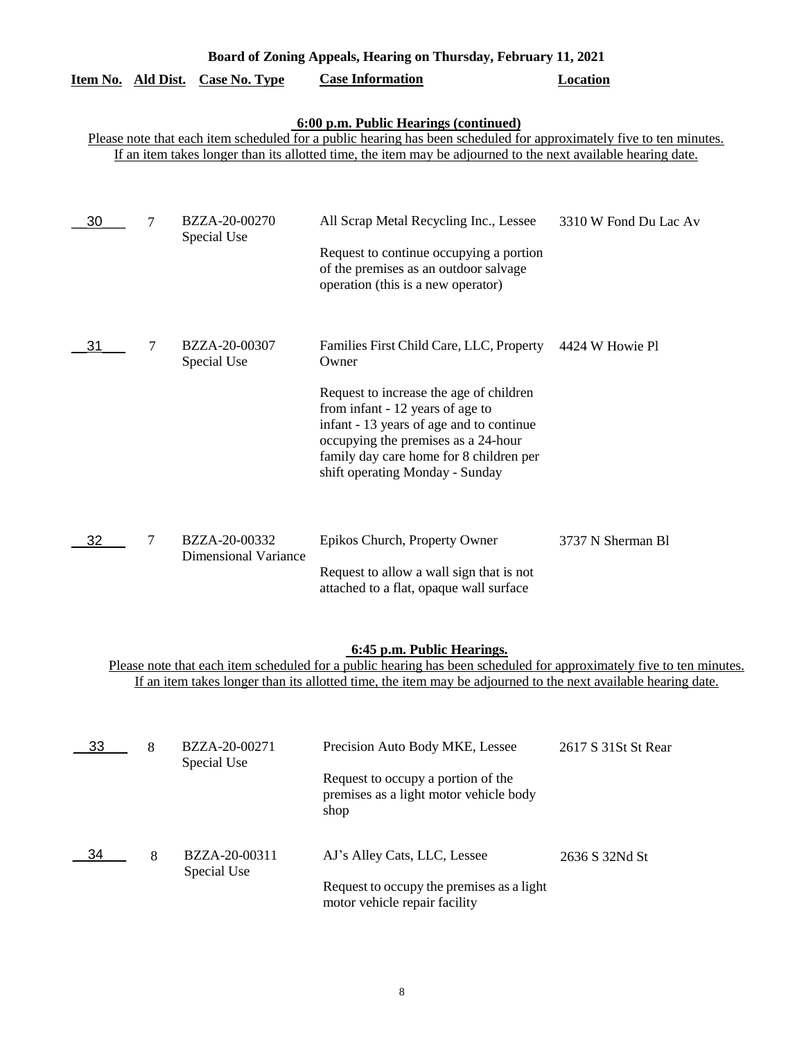| Board of Zoning Appeals, Hearing on Thursday, February 11, 2021 |                                                                                                                                                                                                                                                                               |                                              |                                                                                                                                                                                                                                                                                                   |                       |  |  |
|-----------------------------------------------------------------|-------------------------------------------------------------------------------------------------------------------------------------------------------------------------------------------------------------------------------------------------------------------------------|----------------------------------------------|---------------------------------------------------------------------------------------------------------------------------------------------------------------------------------------------------------------------------------------------------------------------------------------------------|-----------------------|--|--|
| Item No. Ald Dist.                                              |                                                                                                                                                                                                                                                                               | <b>Case No. Type</b>                         | <b>Case Information</b>                                                                                                                                                                                                                                                                           | Location              |  |  |
|                                                                 | 6:00 p.m. Public Hearings (continued)<br>Please note that each item scheduled for a public hearing has been scheduled for approximately five to ten minutes.<br>If an item takes longer than its allotted time, the item may be adjourned to the next available hearing date. |                                              |                                                                                                                                                                                                                                                                                                   |                       |  |  |
| 30                                                              | 7                                                                                                                                                                                                                                                                             | BZZA-20-00270<br>Special Use                 | All Scrap Metal Recycling Inc., Lessee<br>Request to continue occupying a portion<br>of the premises as an outdoor salvage<br>operation (this is a new operator)                                                                                                                                  | 3310 W Fond Du Lac Av |  |  |
| 31                                                              | 7                                                                                                                                                                                                                                                                             | BZZA-20-00307<br>Special Use                 | Families First Child Care, LLC, Property<br>Owner<br>Request to increase the age of children<br>from infant - 12 years of age to<br>infant - 13 years of age and to continue<br>occupying the premises as a 24-hour<br>family day care home for 8 children per<br>shift operating Monday - Sunday | 4424 W Howie Pl       |  |  |
| 32                                                              | 7                                                                                                                                                                                                                                                                             | BZZA-20-00332<br><b>Dimensional Variance</b> | Epikos Church, Property Owner<br>Request to allow a wall sign that is not<br>attached to a flat, opaque wall surface                                                                                                                                                                              | 3737 N Sherman B1     |  |  |

### **6:45 p.m. Public Hearings.**

Please note that each item scheduled for a public hearing has been scheduled for approximately five to ten minutes. If an item takes longer than its allotted time, the item may be adjourned to the next available hearing date.

| 33 | 8 | BZZA-20-00271<br>Special Use | Precision Auto Body MKE, Lessee                                                      | 2617 S 31St St Rear |
|----|---|------------------------------|--------------------------------------------------------------------------------------|---------------------|
|    |   |                              | Request to occupy a portion of the<br>premises as a light motor vehicle body<br>shop |                     |
| 34 | 8 | BZZA-20-00311<br>Special Use | AJ's Alley Cats, LLC, Lessee                                                         | 2636 S 32Nd St      |
|    |   |                              | Request to occupy the premises as a light<br>motor vehicle repair facility           |                     |